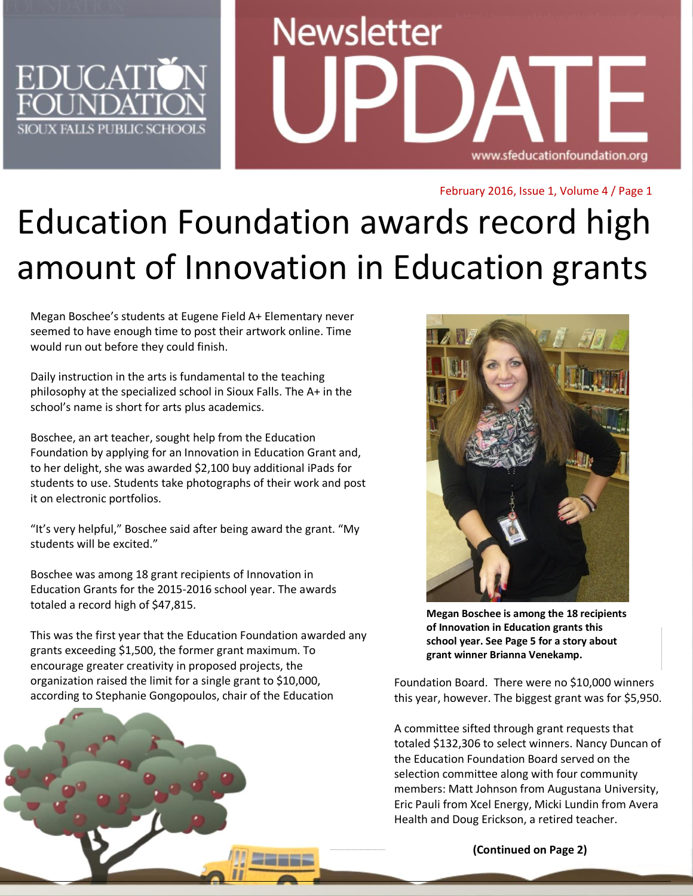

# **Newsletter** www.sfeducationfoundation.org

February 2016, Issue 1, Volume 4 / Page 1

## Education Foundation awards record high amount of Innovation in Education grants

Megan Boschee's students at Eugene Field A+ Elementary never seemed to have enough time to post their artwork online. Time would run out before they could finish.

Daily instruction in the arts is fundamental to the teaching philosophy at the specialized school in Sioux Falls. The A+ in the school's name is short for arts plus academics.

Boschee, an art teacher, sought help from the Education Foundation by applying for an Innovation in Education Grant and, to her delight, she was awarded \$2,100 buy additional iPads for students to use. Students take photographs of their work and post it on electronic portfolios.

"It's very helpful," Boschee said after being award the grant. "My students will be excited."

Boschee was among 18 grant recipients of Innovation in Education Grants for the 2015-2016 school year. The awards totaled a record high of \$47,815.

This was the first year that the Education Foundation awarded any grants exceeding \$1,500, the former grant maximum. To encourage greater creativity in proposed projects, the organization raised the limit for a single grant to \$10,000, according to Stephanie Gongopoulos, chair of the Education



**Megan Boschee is among the 18 recipients of Innovation in Education grants this school year. See Page 5 for a story about grant winner Brianna Venekamp.**

Foundation Board. There were no \$10,000 winners this year, however. The biggest grant was for \$5,950.

A committee sifted through grant requests that totaled \$132,306 to select winners. Nancy Duncan of the Education Foundation Board served on the selection committee along with four community members: Matt Johnson from Augustana University, Eric Pauli from Xcel Energy, Micki Lundin from Avera Health and Doug Erickson, a retired teacher.

**(Continued on Page 2)**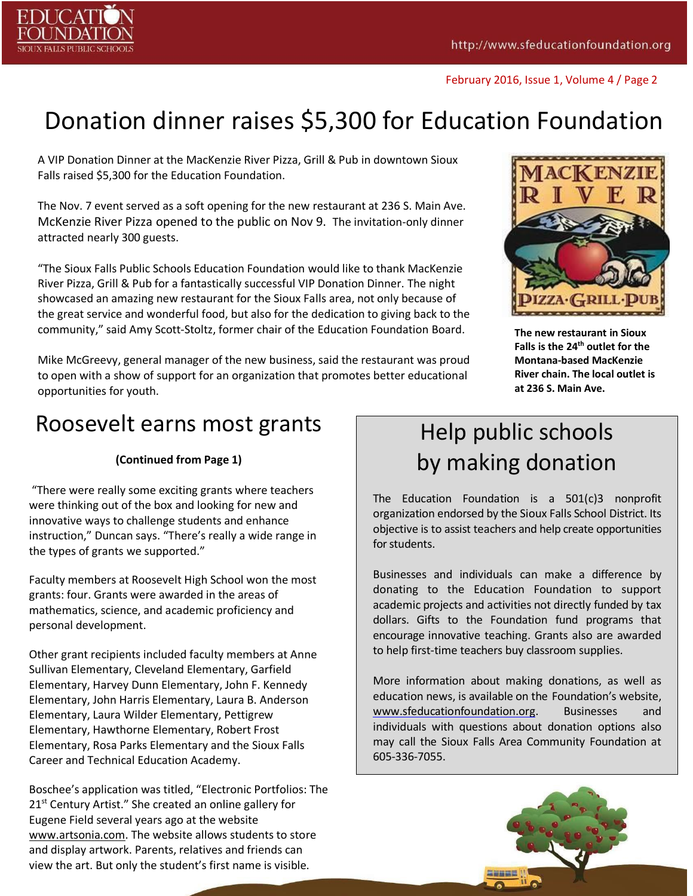

### Donation dinner raises \$5,300 for Education Foundation

A VIP Donation Dinner at the MacKenzie River Pizza, Grill & Pub in downtown Sioux Falls raised \$5,300 for the Education Foundation.

The Nov. 7 event served as a soft opening for the new restaurant at 236 S. Main Ave. McKenzie River Pizza opened to the public on Nov 9. The invitation-only dinner attracted nearly 300 guests.

"The Sioux Falls Public Schools Education Foundation would like to thank MacKenzie River Pizza, Grill & Pub for a fantastically successful VIP Donation Dinner. The night showcased an amazing new restaurant for the Sioux Falls area, not only because of the great service and wonderful food, but also for the dedication to giving back to the community," said Amy Scott-Stoltz, former chair of the Education Foundation Board.

Mike McGreevy, general manager of the new business, said the restaurant was proud to open with a show of support for an organization that promotes better educational opportunities for youth.



**The new restaurant in Sioux Falls is the 24th outlet for the Montana-based MacKenzie River chain. The local outlet is at 236 S. Main Ave.**

#### Roosevelt earns most grants

#### **(Continued from Page 1)**

"There were really some exciting grants where teachers were thinking out of the box and looking for new and innovative ways to challenge students and enhance instruction," Duncan says. "There's really a wide range in the types of grants we supported."

Faculty members at Roosevelt High School won the most grants: four. Grants were awarded in the areas of mathematics, science, and academic proficiency and personal development.

Other grant recipients included faculty members at Anne Sullivan Elementary, Cleveland Elementary, Garfield Elementary, Harvey Dunn Elementary, John F. Kennedy Elementary, John Harris Elementary, Laura B. Anderson Elementary, Laura Wilder Elementary, Pettigrew Elementary, Hawthorne Elementary, Robert Frost Elementary, Rosa Parks Elementary and the Sioux Falls Career and Technical Education Academy.

Boschee's application was titled, "Electronic Portfolios: The 21<sup>st</sup> Century Artist." She created an online gallery for Eugene Field several years ago at the website [www.artsonia.com.](http://www.artsonia.com/) The website allows students to store and display artwork. Parents, relatives and friends can view the art. But only the student's first name is visible.

#### Help public schools by making donation

The Education Foundation is a 501(c)3 nonprofit organization endorsed by the Sioux Falls School District. Its objective is to assist teachers and help create opportunities for students.

Businesses and individuals can make a difference by donating to the Education Foundation to support academic projects and activities not directly funded by tax dollars. Gifts to the Foundation fund programs that encourage innovative teaching. Grants also are awarded to help first-time teachers buy classroom supplies.

More information about making donations, as well as education news, is available on the Foundation's website, [www.sfeducationfoundation.org.](http://www.sfeducationfoundation.org/) Businesses and individuals with questions about donation options also may call the Sioux Falls Area Community Foundation at 605-336-7055.

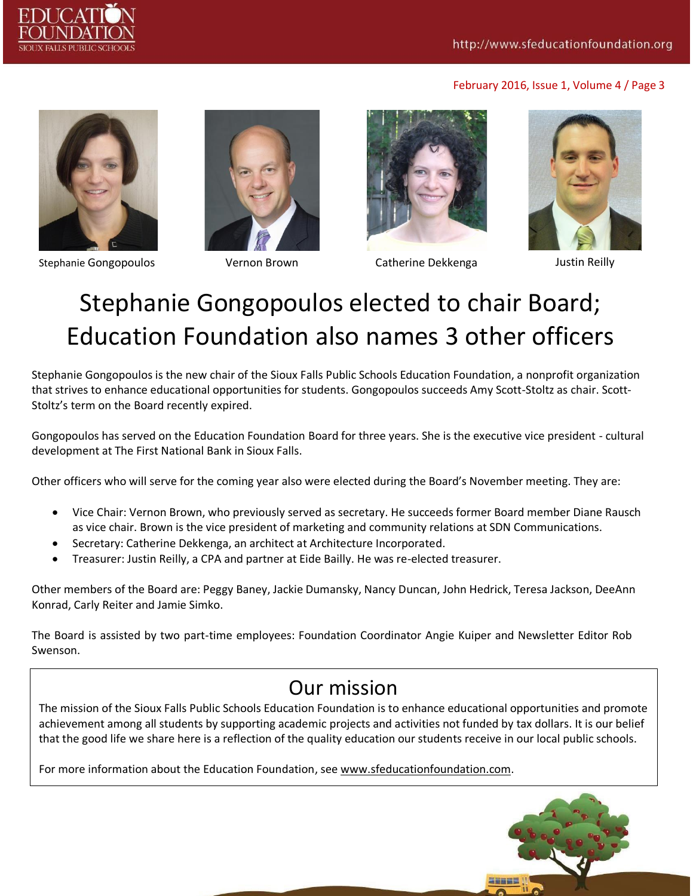



Stephanie Gongopoulos Vernon Brown Catherine Dekkenga Justin Reilly







## Stephanie Gongopoulos elected to chair Board; Education Foundation also names 3 other officers

Stephanie Gongopoulos is the new chair of the Sioux Falls Public Schools Education Foundation, a nonprofit organization that strives to enhance educational opportunities for students. Gongopoulos succeeds Amy Scott-Stoltz as chair. Scott-Stoltz's term on the Board recently expired.

Gongopoulos has served on the Education Foundation Board for three years. She is the executive vice president - cultural development at The First National Bank in Sioux Falls.

Other officers who will serve for the coming year also were elected during the Board's November meeting. They are:

- Vice Chair: Vernon Brown, who previously served as secretary. He succeeds former Board member Diane Rausch as vice chair. Brown is the vice president of marketing and community relations at SDN Communications.
- Secretary: Catherine Dekkenga, an architect at Architecture Incorporated.
- Treasurer: Justin Reilly, a CPA and partner at Eide Bailly. He was re-elected treasurer.

Other members of the Board are: Peggy Baney, Jackie Dumansky, Nancy Duncan, John Hedrick, Teresa Jackson, DeeAnn Konrad, Carly Reiter and Jamie Simko.

The Board is assisted by two part-time employees: Foundation Coordinator Angie Kuiper and Newsletter Editor Rob Swenson.

#### Our mission

The mission of the Sioux Falls Public Schools Education Foundation is to enhance educational opportunities and promote achievement among all students by supporting academic projects and activities not funded by tax dollars. It is our belief that the good life we share here is a reflection of the quality education our students receive in our local public schools.

For more information about the Education Foundation, see [www.sfeducationfoundation.com.](http://www.sfeducationfoundation.com/)

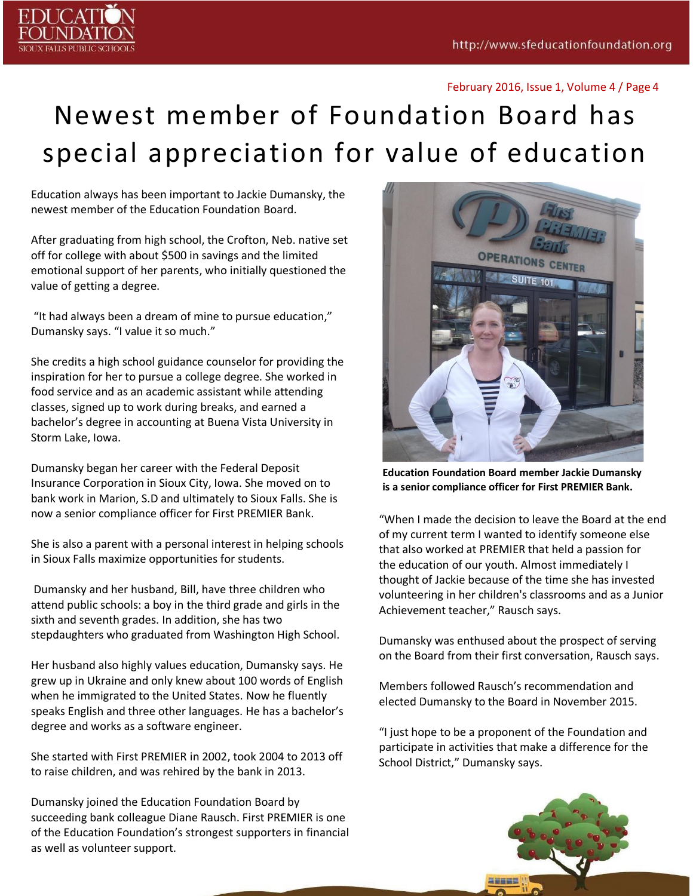

## Newest member of Foundation Board has special appreciation for value of education

Education always has been important to Jackie Dumansky, the newest member of the Education Foundation Board.

After graduating from high school, the Crofton, Neb. native set off for college with about \$500 in savings and the limited emotional support of her parents, who initially questioned the value of getting a degree.

"It had always been a dream of mine to pursue education," Dumansky says. "I value it so much."

She credits a high school guidance counselor for providing the inspiration for her to pursue a college degree. She worked in food service and as an academic assistant while attending classes, signed up to work during breaks, and earned a bachelor's degree in accounting at Buena Vista University in Storm Lake, Iowa.

Dumansky began her career with the Federal Deposit Insurance Corporation in Sioux City, Iowa. She moved on to bank work in Marion, S.D and ultimately to Sioux Falls. She is now a senior compliance officer for First PREMIER Bank.

She is also a parent with a personal interest in helping schools in Sioux Falls maximize opportunities for students.

Dumansky and her husband, Bill, have three children who attend public schools: a boy in the third grade and girls in the sixth and seventh grades. In addition, she has two stepdaughters who graduated from Washington High School.

Her husband also highly values education, Dumansky says. He grew up in Ukraine and only knew about 100 words of English when he immigrated to the United States. Now he fluently speaks English and three other languages. He has a bachelor's degree and works as a software engineer.

She started with First PREMIER in 2002, took 2004 to 2013 off to raise children, and was rehired by the bank in 2013.

Dumansky joined the Education Foundation Board by succeeding bank colleague Diane Rausch. First PREMIER is one of the Education Foundation's strongest supporters in financial as well as volunteer support.



**Education Foundation Board member Jackie Dumansky is a senior compliance officer for First PREMIER Bank.**

"When I made the decision to leave the Board at the end of my current term I wanted to identify someone else that also worked at PREMIER that held a passion for the education of our youth. Almost immediately I thought of Jackie because of the time she has invested volunteering in her children's classrooms and as a Junior Achievement teacher," Rausch says.

Dumansky was enthused about the prospect of serving on the Board from their first conversation, Rausch says.

Members followed Rausch's recommendation and elected Dumansky to the Board in November 2015.

"I just hope to be a proponent of the Foundation and participate in activities that make a difference for the School District," Dumansky says.